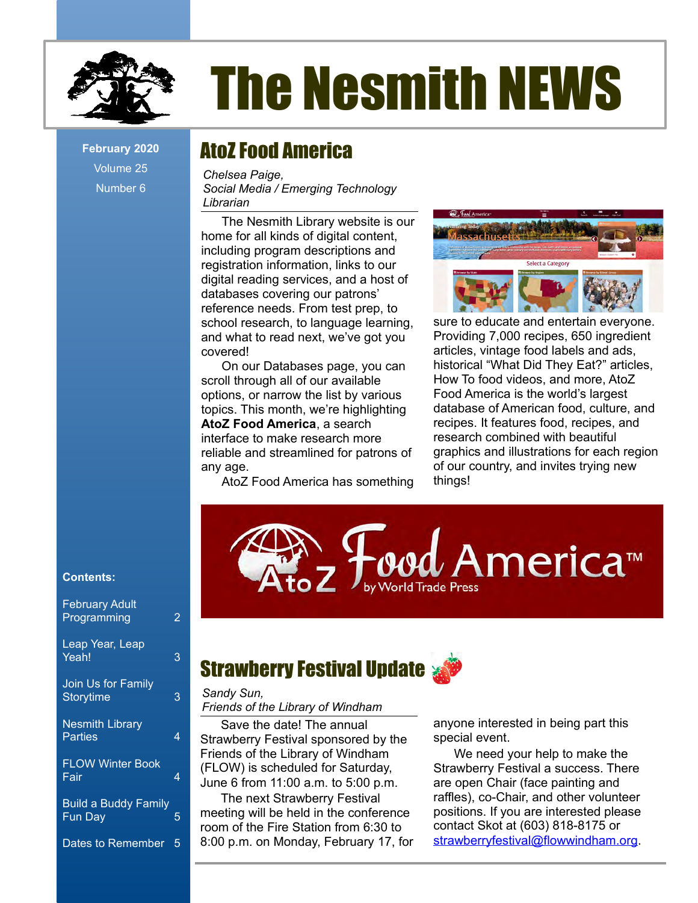

# The Nesmith NEWS

Volume 25 Number 6

## February 2020 **AtoZ Food America**

*Chelsea Paige, Social Media / Emerging Technology Librarian*

The Nesmith Library website is our home for all kinds of digital content, including program descriptions and registration information, links to our digital reading services, and a host of databases covering our patrons' reference needs. From test prep, to school research, to language learning, and what to read next, we've got you covered!

On our Databases page, you can scroll through all of our available options, or narrow the list by various topics. This month, we're highlighting **AtoZ Food America**, a search interface to make research more reliable and streamlined for patrons of any age.

AtoZ Food America has something



sure to educate and entertain everyone. Providing 7,000 recipes, 650 ingredient articles, vintage food labels and ads, historical "What Did They Eat?" articles, How To food videos, and more, AtoZ Food America is the world's largest database of American food, culture, and recipes. It features food, recipes, and research combined with beautiful graphics and illustrations for each region of our country, and invites trying new things!



#### **Contents:**

| <b>February Adult</b><br>Programming   | 2 |
|----------------------------------------|---|
| Leap Year, Leap<br>Yeah!               | 3 |
| Join Us for Family<br><b>Storytime</b> | 3 |
| <b>Nesmith Library</b><br>Parties      | 4 |
| <b>FLOW Winter Book</b><br>Fair        | 4 |
| <b>Build a Buddy Family</b><br>Fun Day | 5 |
| Dates to Remember                      | 5 |

## **Strawberry Festival Update &**

#### *Sandy Sun, Friends of the Library of Windham*

Save the date! The annual Strawberry Festival sponsored by the Friends of the Library of Windham (FLOW) is scheduled for Saturday, June 6 from 11:00 a.m. to 5:00 p.m.

The next Strawberry Festival meeting will be held in the conference room of the Fire Station from 6:30 to 8:00 p.m. on Monday, February 17, for anyone interested in being part this special event.

We need your help to make the Strawberry Festival a success. There are open Chair (face painting and raffles), co-Chair, and other volunteer positions. If you are interested please contact Skot at (603) 818-8175 or [strawberryfestival@flowwindham.org.](mailto:strawberryfestival@flowwindham.org)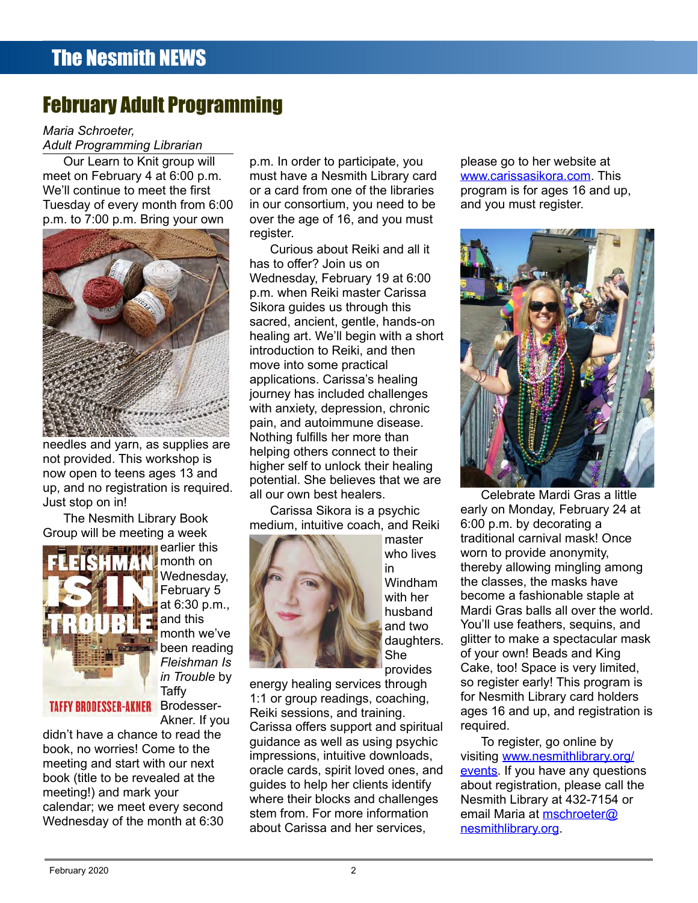## February Adult Programming

*Maria Schroeter,*

*Adult Programming Librarian*

Our Learn to Knit group will meet on February 4 at 6:00 p.m. We'll continue to meet the first Tuesday of every month from 6:00 p.m. to 7:00 p.m. Bring your own



needles and yarn, as supplies are not provided. This workshop is now open to teens ages 13 and up, and no registration is required. Just stop on in!

The Nesmith Library Book Group will be meeting a week



**ED INTIFICATION** Carlier this month on Wednesday, February 5 at 6:30 p.m., and this month we've been reading *Fleishman Is in Trouble* by Taffy Akner. If you

TAFFY BRODESSER-AKNER Brodesser-

didn't have a chance to read the book, no worries! Come to the meeting and start with our next book (title to be revealed at the meeting!) and mark your calendar; we meet every second Wednesday of the month at 6:30

p.m. In order to participate, you must have a Nesmith Library card or a card from one of the libraries in our consortium, you need to be over the age of 16, and you must register.

Curious about Reiki and all it has to offer? Join us on Wednesday, February 19 at 6:00 p.m. when Reiki master Carissa Sikora guides us through this sacred, ancient, gentle, hands-on healing art. We'll begin with a short introduction to Reiki, and then move into some practical applications. Carissa's healing journey has included challenges with anxiety, depression, chronic pain, and autoimmune disease. Nothing fulfills her more than helping others connect to their higher self to unlock their healing potential. She believes that we are all our own best healers.

Carissa Sikora is a psychic medium, intuitive coach, and Reiki



master who lives in Windham with her husband and two daughters. She provides

energy healing services through 1:1 or group readings, coaching, Reiki sessions, and training. Carissa offers support and spiritual guidance as well as using psychic impressions, intuitive downloads, oracle cards, spirit loved ones, and guides to help her clients identify where their blocks and challenges stem from. For more information about Carissa and her services,

please go to her website at [www.carissasikora.com](http://www.carissasikora.com/). This program is for ages 16 and up, and you must register.



Celebrate Mardi Gras a little early on Monday, February 24 at 6:00 p.m. by decorating a traditional carnival mask! Once worn to provide anonymity, thereby allowing mingling among the classes, the masks have become a fashionable staple at Mardi Gras balls all over the world. You'll use feathers, sequins, and glitter to make a spectacular mask of your own! Beads and King Cake, too! Space is very limited, so register early! This program is for Nesmith Library card holders ages 16 and up, and registration is required.

To register, go online by visiting [www.nesmithlibrary.org/](http://www.nesmithlibrary.org/) [events](http://www.nesmithlibrary.org/events). If you have any questions about registration, please call the Nesmith Library at 432-7154 or email Maria at [mschroeter@](mailto:mschroeter@nesmithlibrary.org) [nesmithlibrary.org.](mailto:mschroeter@nesmithlibrary.org)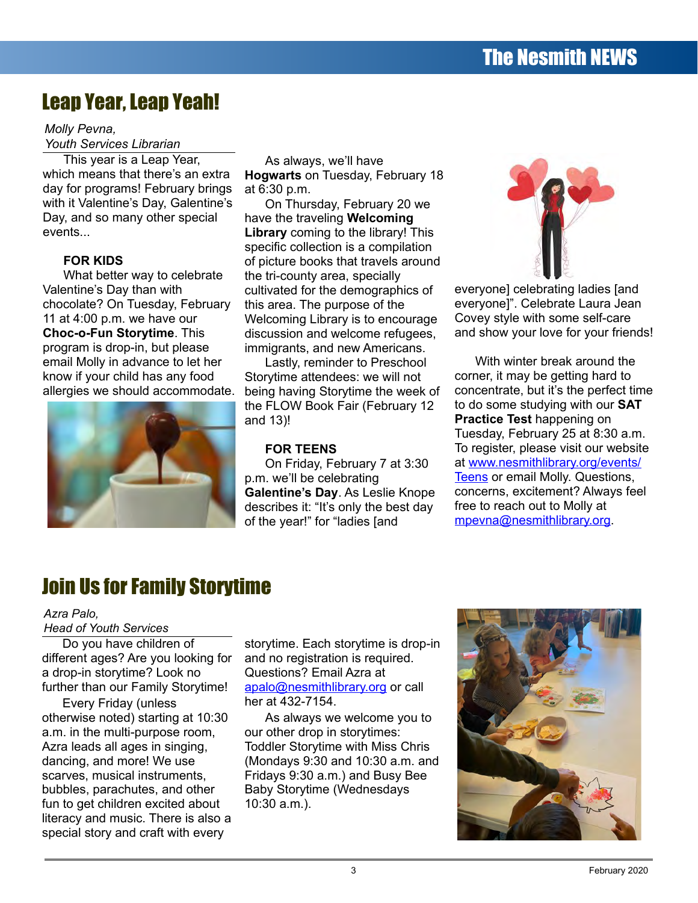## Leap Year, Leap Yeah!

#### *Molly Pevna, Youth Services Librarian*

This year is a Leap Year, which means that there's an extra day for programs! February brings with it Valentine's Day, Galentine's Day, and so many other special events...

#### **FOR KIDS**

What better way to celebrate Valentine's Day than with chocolate? On Tuesday, February 11 at 4:00 p.m. we have our **Choc-o-Fun Storytime**. This program is drop-in, but please email Molly in advance to let her know if your child has any food allergies we should accommodate.



As always, we'll have **Hogwarts** on Tuesday, February 18 at 6:30 p.m.

On Thursday, February 20 we have the traveling **Welcoming Library** coming to the library! This specific collection is a compilation of picture books that travels around the tri-county area, specially cultivated for the demographics of this area. The purpose of the Welcoming Library is to encourage discussion and welcome refugees, immigrants, and new Americans.

Lastly, reminder to Preschool Storytime attendees: we will not being having Storytime the week of the FLOW Book Fair (February 12 and 13)!

#### **FOR TEENS**

On Friday, February 7 at 3:30 p.m. we'll be celebrating **Galentine's Day**. As Leslie Knope describes it: "It's only the best day of the year!" for "ladies [and



everyone] celebrating ladies [and everyone]". Celebrate Laura Jean Covey style with some self-care and show your love for your friends!

With winter break around the corner, it may be getting hard to concentrate, but it's the perfect time to do some studying with our **SAT Practice Test** happening on Tuesday, February 25 at 8:30 a.m. To register, please visit our website at [www.nesmithlibrary.org/events/](http://www.nesmithlibrary.org/events/) [Teens](http://www.nesmithlibrary.org/events/Teens) or email Molly. Questions, concerns, excitement? Always feel free to reach out to Molly at [mpevna@nesmithlibrary.org.](mailto:mpevna@nesmithlibrary.org)

## Join Us for Family Storytime

#### *Azra Palo,*

*Head of Youth Services*

Do you have children of different ages? Are you looking for a drop-in storytime? Look no further than our Family Storytime!

Every Friday (unless otherwise noted) starting at 10:30 a.m. in the multi-purpose room, Azra leads all ages in singing, dancing, and more! We use scarves, musical instruments, bubbles, parachutes, and other fun to get children excited about literacy and music. There is also a special story and craft with every

storytime. Each storytime is drop-in and no registration is required. Questions? Email Azra at [apalo@nesmithlibrary.org](mailto:apalo@nesmithlibrary.org) or call her at 432-7154.

As always we welcome you to our other drop in storytimes: Toddler Storytime with Miss Chris (Mondays 9:30 and 10:30 a.m. and Fridays 9:30 a.m.) and Busy Bee Baby Storytime (Wednesdays 10:30 a.m.).

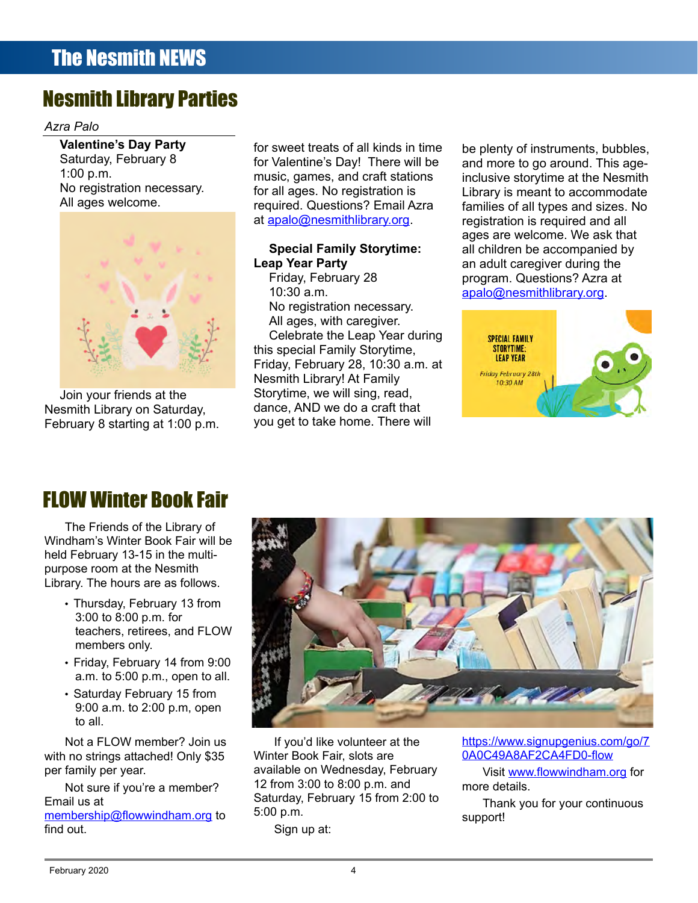## Nesmith Library Parties

#### *Azra Palo*

**Valentine's Day Party** Saturday, February 8 1:00 p.m. No registration necessary. All ages welcome.



Join your friends at the Nesmith Library on Saturday, February 8 starting at 1:00 p.m.

for sweet treats of all kinds in time for Valentine's Day! There will be music, games, and craft stations for all ages. No registration is required. Questions? Email Azra at [apalo@nesmithlibrary.org.](mailto:apalo@nesmithlibrary.org)

#### **Special Family Storytime: Leap Year Party**

Friday, February 28 10:30 a.m. No registration necessary. All ages, with caregiver. Celebrate the Leap Year during this special Family Storytime, Friday, February 28, 10:30 a.m. at Nesmith Library! At Family Storytime, we will sing, read, dance, AND we do a craft that you get to take home. There will

be plenty of instruments, bubbles, and more to go around. This ageinclusive storytime at the Nesmith Library is meant to accommodate families of all types and sizes. No registration is required and all ages are welcome. We ask that all children be accompanied by an adult caregiver during the program. Questions? Azra at [apalo@nesmithlibrary.org](mailto:apalo@nesmithlibrary.org).



## FLOW Winter Book Fair

The Friends of the Library of Windham's Winter Book Fair will be held February 13-15 in the multipurpose room at the Nesmith Library. The hours are as follows.

- Thursday, February 13 from 3:00 to 8:00 p.m. for teachers, retirees, and FLOW members only.
- Friday, February 14 from 9:00 a.m. to 5:00 p.m., open to all.
- Saturday February 15 from 9:00 a.m. to 2:00 p.m, open to all.

Not a FLOW member? Join us with no strings attached! Only \$35 per family per year.

Not sure if you're a member? Email us at

[membership@flowwindham.org](mailto:membership@flowwindham.org) to find out.



If you'd like volunteer at the Winter Book Fair, slots are available on Wednesday, February 12 from 3:00 to 8:00 p.m. and Saturday, February 15 from 2:00 to 5:00 p.m.

Sign up at:

[https://www.signupgenius.com/go/7](https://www.signupgenius.com/go/70A0C49A8AF2CA4FD0-flow) [0A0C49A8AF2CA4FD0-flow](https://www.signupgenius.com/go/70A0C49A8AF2CA4FD0-flow)

Visit [www.flowwindham.org](http://www.flowwindham.org/) for more details.

Thank you for your continuous support!